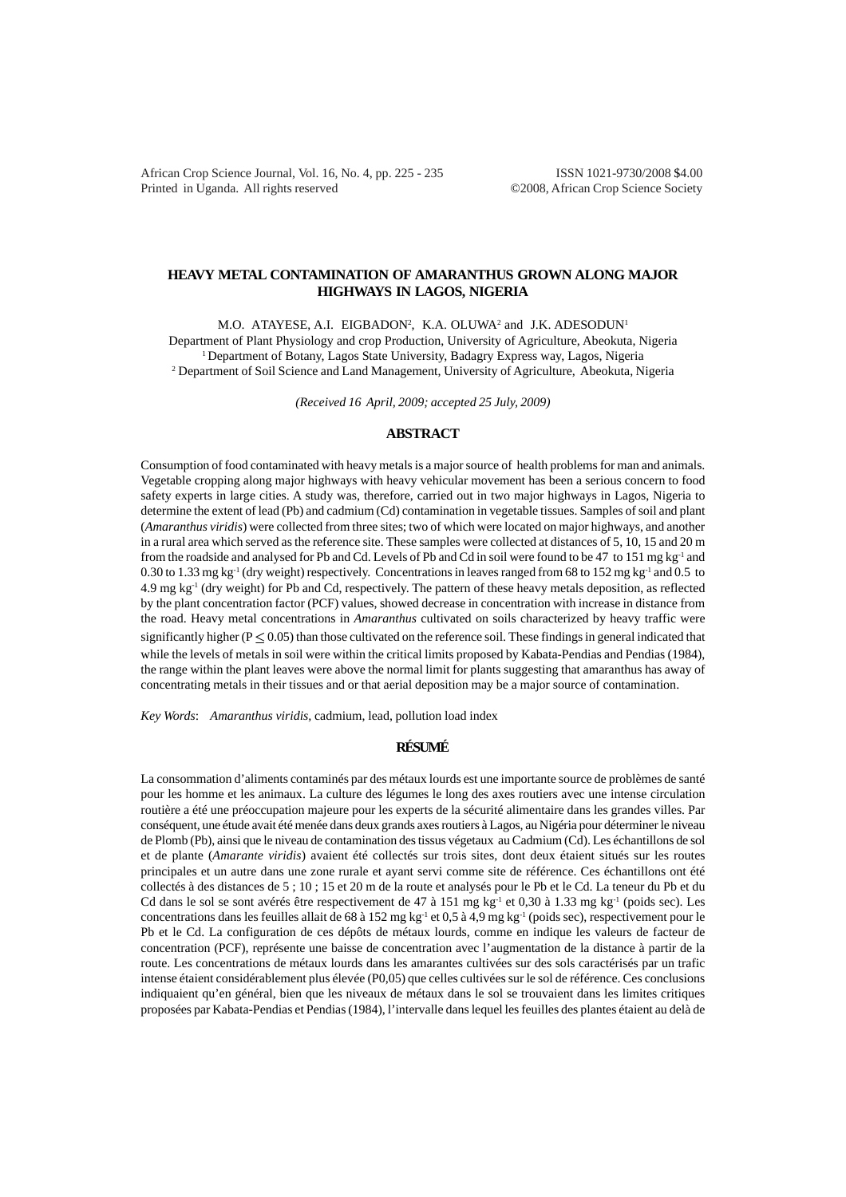African Crop Science Journal, Vol. 16, No. 4, pp. 225 - 235 ISSN 1021-9730/2008 \$4.00 Printed in Uganda. All rights reserved ©2008, African Crop Science Society

# **HEAVY METAL CONTAMINATION OF AMARANTHUS GROWN ALONG MAJOR HIGHWAYS IN LAGOS, NIGERIA**

M.O. ATAYESE, A.I. EIGBADON<sup>2</sup>, K.A. OLUWA<sup>2</sup> and J.K. ADESODUN<sup>1</sup> Department of Plant Physiology and crop Production, University of Agriculture, Abeokuta, Nigeria <sup>1</sup> Department of Botany, Lagos State University, Badagry Express way, Lagos, Nigeria <sup>2</sup> Department of Soil Science and Land Management, University of Agriculture, Abeokuta, Nigeria

*(Received 16 April, 2009; accepted 25 July, 2009)*

# **ABSTRACT**

Consumption of food contaminated with heavy metals is a major source of health problems for man and animals. Vegetable cropping along major highways with heavy vehicular movement has been a serious concern to food safety experts in large cities. A study was, therefore, carried out in two major highways in Lagos, Nigeria to determine the extent of lead (Pb) and cadmium (Cd) contamination in vegetable tissues. Samples of soil and plant (*Amaranthus viridis*) were collected from three sites; two of which were located on major highways, and another in a rural area which served as the reference site. These samples were collected at distances of 5, 10, 15 and 20 m from the roadside and analysed for Pb and Cd. Levels of Pb and Cd in soil were found to be 47 to 151 mg kg-1 and 0.30 to 1.33 mg kg<sup>-1</sup> (dry weight) respectively. Concentrations in leaves ranged from 68 to 152 mg kg<sup>-1</sup> and 0.5 to 4.9 mg kg-1 (dry weight) for Pb and Cd, respectively. The pattern of these heavy metals deposition, as reflected by the plant concentration factor (PCF) values, showed decrease in concentration with increase in distance from the road. Heavy metal concentrations in *Amaranthus* cultivated on soils characterized by heavy traffic were significantly higher ( $P \le 0.05$ ) than those cultivated on the reference soil. These findings in general indicated that while the levels of metals in soil were within the critical limits proposed by Kabata-Pendias and Pendias (1984), the range within the plant leaves were above the normal limit for plants suggesting that amaranthus has away of concentrating metals in their tissues and or that aerial deposition may be a major source of contamination.

*Key Words*: *Amaranthus viridis,* cadmium, lead, pollution load index

# **RÉSUMÉ**

La consommation d'aliments contaminés par des métaux lourds est une importante source de problèmes de santé pour les homme et les animaux. La culture des légumes le long des axes routiers avec une intense circulation routière a été une préoccupation majeure pour les experts de la sécurité alimentaire dans les grandes villes. Par conséquent, une étude avait été menée dans deux grands axes routiers à Lagos, au Nigéria pour déterminer le niveau de Plomb (Pb), ainsi que le niveau de contamination des tissus végetaux au Cadmium (Cd). Les échantillons de sol et de plante (*Amarante viridis*) avaient été collectés sur trois sites, dont deux étaient situés sur les routes principales et un autre dans une zone rurale et ayant servi comme site de référence. Ces échantillons ont été collectés à des distances de 5 ; 10 ; 15 et 20 m de la route et analysés pour le Pb et le Cd. La teneur du Pb et du Cd dans le sol se sont avérés être respectivement de 47 à 151 mg kg<sup>-1</sup> et 0,30 à 1.33 mg kg<sup>-1</sup> (poids sec). Les concentrations dans les feuilles allait de 68 à 152 mg kg<sup>-1</sup> et 0,5 à 4,9 mg kg<sup>-1</sup> (poids sec), respectivement pour le Pb et le Cd. La configuration de ces dépôts de métaux lourds, comme en indique les valeurs de facteur de concentration (PCF), représente une baisse de concentration avec l'augmentation de la distance à partir de la route. Les concentrations de métaux lourds dans les amarantes cultivées sur des sols caractérisés par un trafic intense étaient considérablement plus élevée (P0,05) que celles cultivées sur le sol de référence. Ces conclusions indiquaient qu'en général, bien que les niveaux de métaux dans le sol se trouvaient dans les limites critiques proposées par Kabata-Pendias et Pendias (1984), l'intervalle dans lequel les feuilles des plantes étaient au delà de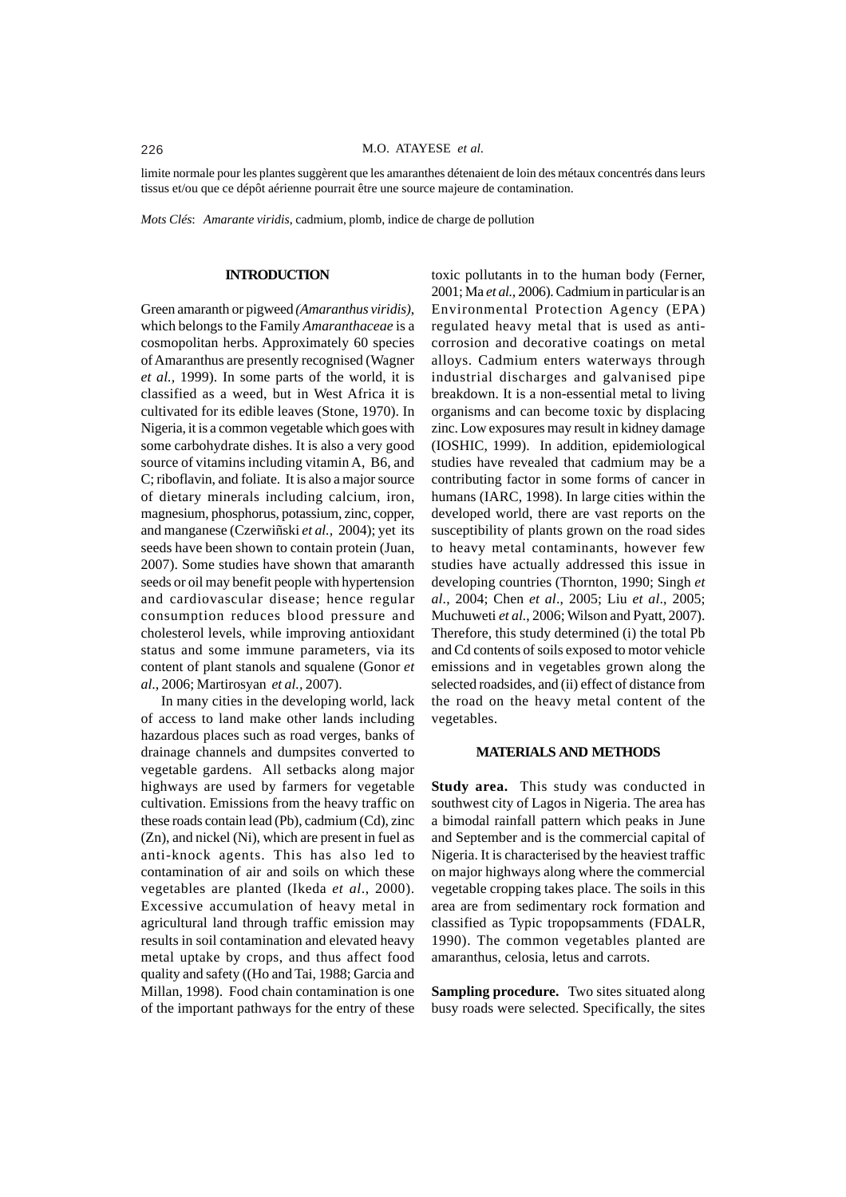limite normale pour les plantes suggèrent que les amaranthes détenaient de loin des métaux concentrés dans leurs tissus et/ou que ce dépôt aérienne pourrait être une source majeure de contamination.

*Mots Clés*: *Amarante viridis*, cadmium, plomb, indice de charge de pollution

## **INTRODUCTION**

Green amaranth or pigweed *(Amaranthus viridis)*, which belongs to the Family *Amaranthaceae* is a cosmopolitan herbs. Approximately 60 species of Amaranthus are presently recognised (Wagner *et al.,* 1999). In some parts of the world, it is classified as a weed, but in West Africa it is cultivated for its edible leaves (Stone, 1970). In Nigeria, it is a common vegetable which goes with some carbohydrate dishes. It is also a very good source of vitamins including vitamin A, B6, and C; riboflavin, and foliate. It is also a major source of dietary minerals including calcium, iron, magnesium, phosphorus, potassium, zinc, copper, and manganese (Czerwiñski *et al.,* 2004); yet its seeds have been shown to contain protein (Juan, 2007). Some studies have shown that amaranth seeds or oil may benefit people with hypertension and cardiovascular disease; hence regular consumption reduces blood pressure and cholesterol levels, while improving antioxidant status and some immune parameters, via its content of plant stanols and squalene (Gonor *et al*., 2006; Martirosyan *et al.,* 2007).

In many cities in the developing world, lack of access to land make other lands including hazardous places such as road verges, banks of drainage channels and dumpsites converted to vegetable gardens. All setbacks along major highways are used by farmers for vegetable cultivation. Emissions from the heavy traffic on these roads contain lead (Pb), cadmium (Cd), zinc (Zn), and nickel (Ni), which are present in fuel as anti-knock agents. This has also led to contamination of air and soils on which these vegetables are planted (Ikeda *et al*., 2000). Excessive accumulation of heavy metal in agricultural land through traffic emission may results in soil contamination and elevated heavy metal uptake by crops, and thus affect food quality and safety ((Ho and Tai, 1988; Garcia and Millan, 1998). Food chain contamination is one of the important pathways for the entry of these

toxic pollutants in to the human body (Ferner, 2001; Ma *et al.,* 2006). Cadmium in particular is an Environmental Protection Agency (EPA) regulated heavy metal that is used as anticorrosion and decorative coatings on metal alloys. Cadmium enters waterways through industrial discharges and galvanised pipe breakdown. It is a non-essential metal to living organisms and can become toxic by displacing zinc. Low exposures may result in kidney damage (IOSHIC, 1999). In addition, epidemiological studies have revealed that cadmium may be a contributing factor in some forms of cancer in humans (IARC, 1998). In large cities within the developed world, there are vast reports on the susceptibility of plants grown on the road sides to heavy metal contaminants, however few studies have actually addressed this issue in developing countries (Thornton, 1990; Singh *et al*., 2004; Chen *et al*., 2005; Liu *et al*., 2005; Muchuweti *et al.*, 2006; Wilson and Pyatt, 2007). Therefore, this study determined (i) the total Pb and Cd contents of soils exposed to motor vehicle emissions and in vegetables grown along the selected roadsides, and (ii) effect of distance from the road on the heavy metal content of the vegetables.

## **MATERIALS AND METHODS**

**Study area.** This study was conducted in southwest city of Lagos in Nigeria. The area has a bimodal rainfall pattern which peaks in June and September and is the commercial capital of Nigeria. It is characterised by the heaviest traffic on major highways along where the commercial vegetable cropping takes place. The soils in this area are from sedimentary rock formation and classified as Typic tropopsamments (FDALR, 1990). The common vegetables planted are amaranthus, celosia, letus and carrots.

**Sampling procedure.** Two sites situated along busy roads were selected. Specifically, the sites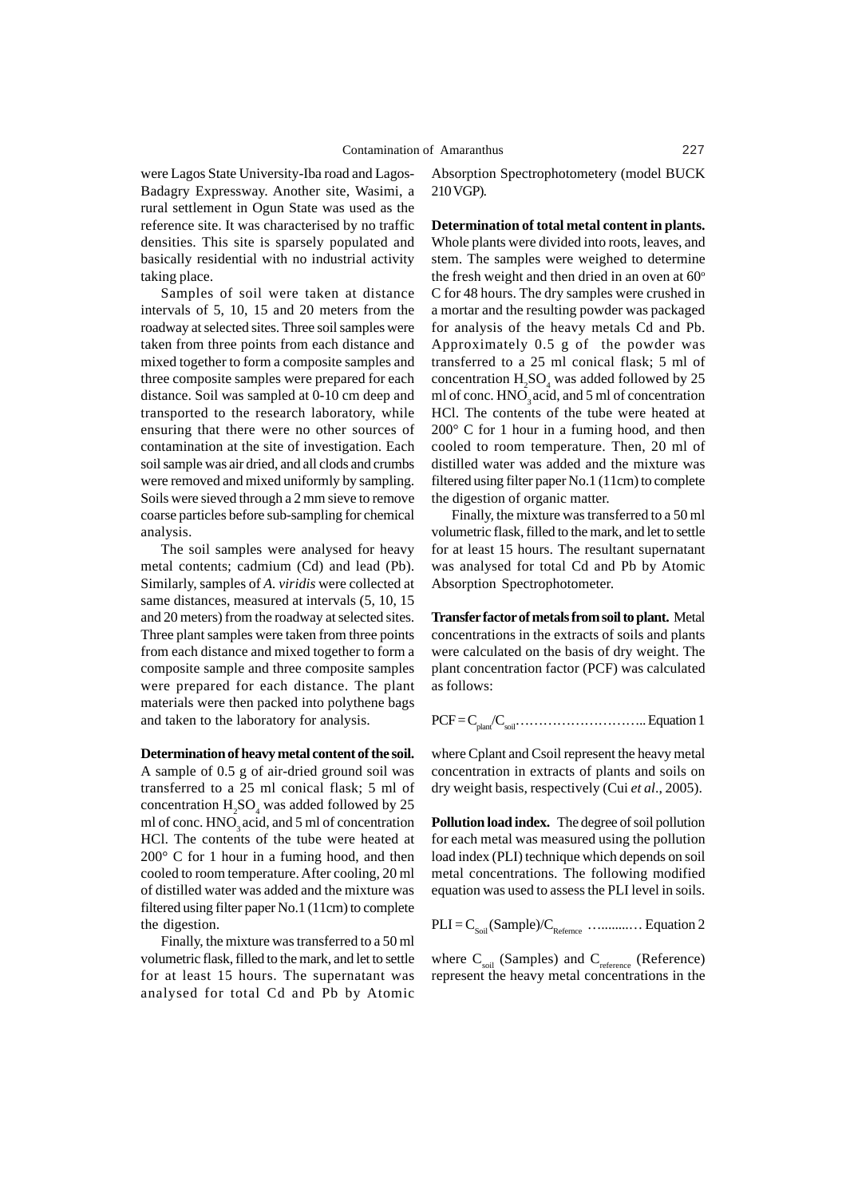were Lagos State University-Iba road and Lagos-Badagry Expressway. Another site, Wasimi, a rural settlement in Ogun State was used as the reference site. It was characterised by no traffic densities. This site is sparsely populated and basically residential with no industrial activity taking place.

Samples of soil were taken at distance intervals of 5, 10, 15 and 20 meters from the roadway at selected sites. Three soil samples were taken from three points from each distance and mixed together to form a composite samples and three composite samples were prepared for each distance. Soil was sampled at 0-10 cm deep and transported to the research laboratory, while ensuring that there were no other sources of contamination at the site of investigation. Each soil sample was air dried, and all clods and crumbs were removed and mixed uniformly by sampling. Soils were sieved through a 2 mm sieve to remove coarse particles before sub-sampling for chemical analysis.

The soil samples were analysed for heavy metal contents; cadmium (Cd) and lead (Pb). Similarly, samples of *A. viridis* were collected at same distances, measured at intervals (5, 10, 15 and 20 meters) from the roadway at selected sites. Three plant samples were taken from three points from each distance and mixed together to form a composite sample and three composite samples were prepared for each distance. The plant materials were then packed into polythene bags and taken to the laboratory for analysis.

**Determination of heavy metal content of the soil.** A sample of 0.5 g of air-dried ground soil was transferred to a 25 ml conical flask; 5 ml of concentration  $H_2SO_4$  was added followed by 25 ml of conc. HNO<sub>3</sub> acid, and 5 ml of concentration HCl. The contents of the tube were heated at 200° C for 1 hour in a fuming hood, and then cooled to room temperature. After cooling, 20 ml of distilled water was added and the mixture was filtered using filter paper No.1 (11cm) to complete the digestion.

Finally, the mixture was transferred to a 50 ml volumetric flask, filled to the mark, and let to settle for at least 15 hours. The supernatant was analysed for total Cd and Pb by Atomic

Absorption Spectrophotometery (model BUCK 210 VGP).

**Determination of total metal content in plants.** Whole plants were divided into roots, leaves, and stem. The samples were weighed to determine the fresh weight and then dried in an oven at  $60^\circ$ C for 48 hours. The dry samples were crushed in a mortar and the resulting powder was packaged for analysis of the heavy metals Cd and Pb. Approximately 0.5 g of the powder was transferred to a 25 ml conical flask; 5 ml of concentration  $H_2SO_4$  was added followed by 25 ml of conc.  $HNO<sub>3</sub>$  acid, and 5 ml of concentration HCl. The contents of the tube were heated at 200° C for 1 hour in a fuming hood, and then cooled to room temperature. Then, 20 ml of distilled water was added and the mixture was filtered using filter paper No.1 (11cm) to complete the digestion of organic matter.

Finally, the mixture was transferred to a 50 ml volumetric flask, filled to the mark, and let to settle for at least 15 hours. The resultant supernatant was analysed for total Cd and Pb by Atomic Absorption Spectrophotometer.

**Transfer factor of metals from soil to plant.** Metal concentrations in the extracts of soils and plants were calculated on the basis of dry weight. The plant concentration factor (PCF) was calculated as follows:

PCF = Cplant/Csoil……………………….. Equation 1

where Cplant and Csoil represent the heavy metal concentration in extracts of plants and soils on dry weight basis, respectively (Cui *et al*., 2005).

**Pollution load index.** The degree of soil pollution for each metal was measured using the pollution load index (PLI) technique which depends on soil metal concentrations. The following modified equation was used to assess the PLI level in soils.

PLI = CSoil (Sample)/CRefernce …........… Equation 2

where  $C_{\text{soil}}$  (Samples) and  $C_{\text{reference}}$  (Reference) represent the heavy metal concentrations in the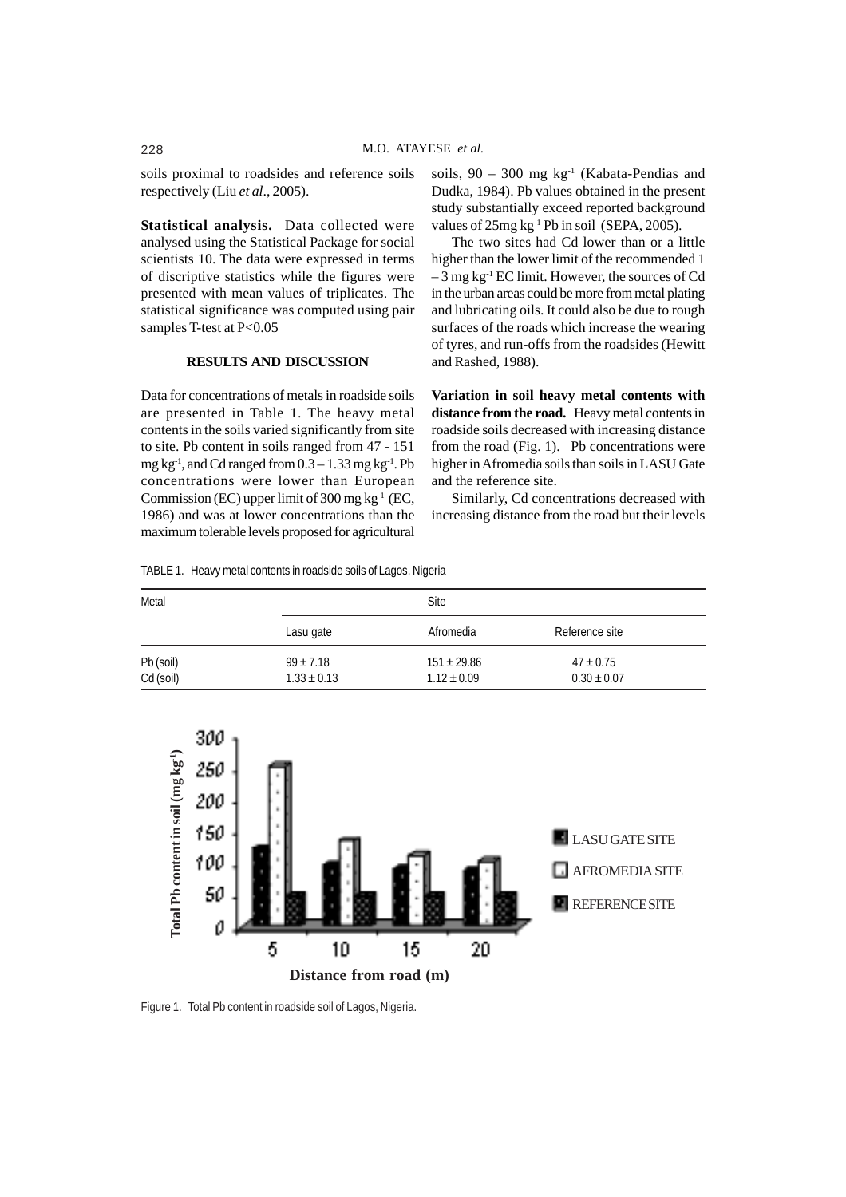soils proximal to roadsides and reference soils respectively (Liu *et al*., 2005).

**Statistical analysis.** Data collected were analysed using the Statistical Package for social scientists 10. The data were expressed in terms of discriptive statistics while the figures were presented with mean values of triplicates. The statistical significance was computed using pair samples T-test at P<0.05

## **RESULTS AND DISCUSSION**

Data for concentrations of metals in roadside soils are presented in Table 1. The heavy metal contents in the soils varied significantly from site to site. Pb content in soils ranged from 47 - 151 mg  $kg<sup>-1</sup>$ , and Cd ranged from  $0.3 - 1.33$  mg  $kg<sup>-1</sup>$ . Pb concentrations were lower than European Commission (EC) upper limit of 300 mg kg $^{-1}$  (EC, 1986) and was at lower concentrations than the maximum tolerable levels proposed for agricultural

TABLE 1. Heavy metal contents in roadside soils of Lagos, Nigeria

soils,  $90 - 300$  mg kg<sup>-1</sup> (Kabata-Pendias and Dudka, 1984). Pb values obtained in the present study substantially exceed reported background values of  $25mg \, kg^{-1}$  Pb in soil (SEPA, 2005).

The two sites had Cd lower than or a little higher than the lower limit of the recommended 1 – 3 mg kg-1 EC limit. However, the sources of Cd in the urban areas could be more from metal plating and lubricating oils. It could also be due to rough surfaces of the roads which increase the wearing of tyres, and run-offs from the roadsides (Hewitt and Rashed, 1988).

**Variation in soil heavy metal contents with distance from the road.** Heavy metal contents in roadside soils decreased with increasing distance from the road (Fig. 1). Pb concentrations were higher in Afromedia soils than soils in LASU Gate and the reference site.

Similarly, Cd concentrations decreased with increasing distance from the road but their levels

| Metal                  |                                | Site                               |                                  |  |
|------------------------|--------------------------------|------------------------------------|----------------------------------|--|
|                        | Lasu gate                      | Afromedia                          | Reference site                   |  |
| Pb (soil)<br>Cd (soil) | $99 + 7.18$<br>$1.33 \pm 0.13$ | $151 \pm 29.86$<br>$1.12 \pm 0.09$ | $47 \pm 0.75$<br>$0.30 \pm 0.07$ |  |



Figure 1. Total Pb content in roadside soil of Lagos, Nigeria.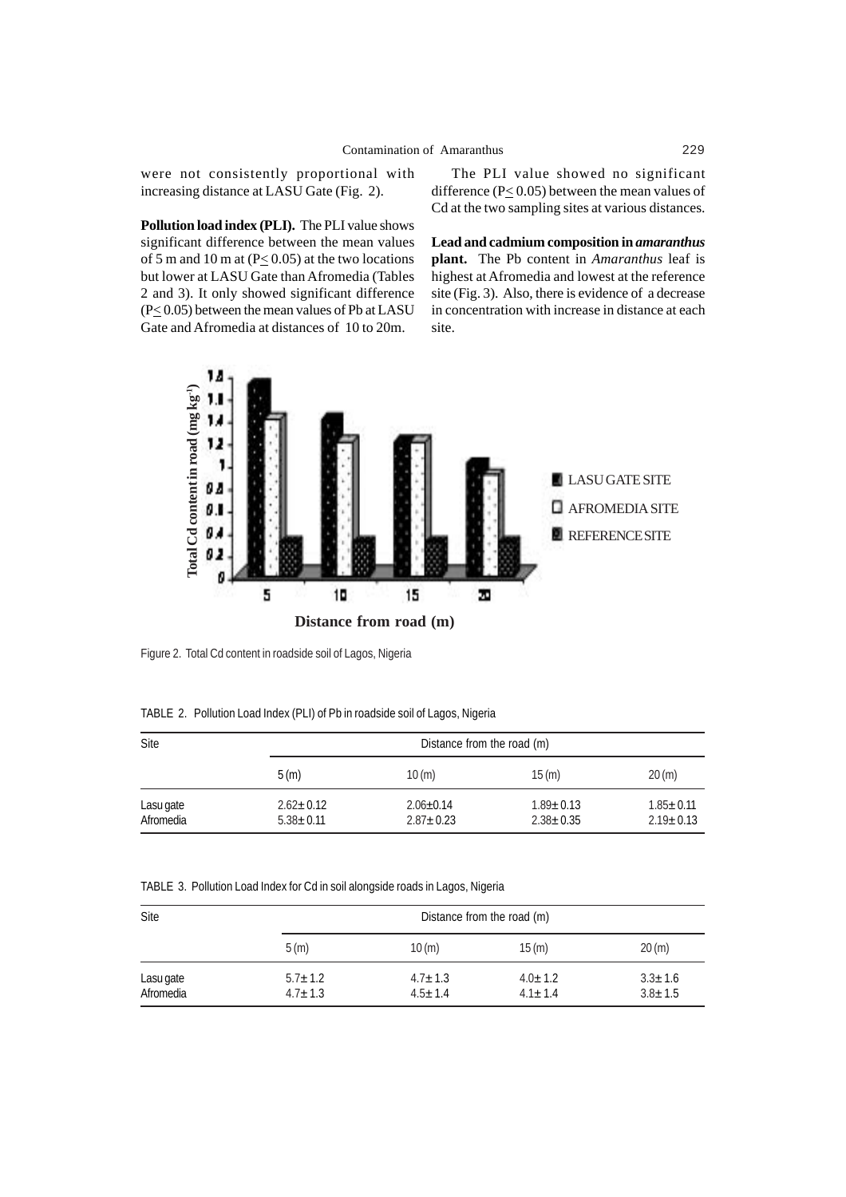were not consistently proportional with increasing distance at LASU Gate (Fig. 2).

**Pollution load index (PLI).** The PLI value shows significant difference between the mean values of 5 m and 10 m at  $(P< 0.05)$  at the two locations but lower at LASU Gate than Afromedia (Tables 2 and 3). It only showed significant difference (P< 0.05) between the mean values of Pb at LASU Gate and Afromedia at distances of 10 to 20m.

The PLI value showed no significant difference ( $P \le 0.05$ ) between the mean values of Cd at the two sampling sites at various distances.

**Lead and cadmium composition in** *amaranthus* **plant.** The Pb content in *Amaranthus* leaf is highest at Afromedia and lowest at the reference site (Fig. 3). Also, there is evidence of a decrease in concentration with increase in distance at each site.



Figure 2. Total Cd content in roadside soil of Lagos, Nigeria

TABLE 2. Pollution Load Index (PLI) of Pb in roadside soil of Lagos, Nigeria

| Site                   |                                    | Distance from the road (m)       |                                    |                                  |  |
|------------------------|------------------------------------|----------------------------------|------------------------------------|----------------------------------|--|
|                        | 5(m)                               | 10(m)                            | 15(m)                              | 20(m)                            |  |
| Lasu gate<br>Afromedia | $2.62 \pm 0.12$<br>$5.38 \pm 0.11$ | $2.06 + 0.14$<br>$2.87 \pm 0.23$ | $1.89 \pm 0.13$<br>$2.38 \pm 0.35$ | $1.85 + 0.11$<br>$2.19 \pm 0.13$ |  |

TABLE 3. Pollution Load Index for Cd in soil alongside roads in Lagos, Nigeria

|             | Distance from the road (m) |             |                                |  |  |
|-------------|----------------------------|-------------|--------------------------------|--|--|
| 5(m)        | 10(m)                      | 15(m)       | 20(m)                          |  |  |
| $5.7 + 1.2$ | $4.7 \pm 1.3$              | $4.0 + 1.2$ | $3.3 \pm 1.6$<br>$3.8 \pm 1.5$ |  |  |
|             | $4.7 \pm 1.3$              | $4.5 + 1.4$ | $4.1 + 1.4$                    |  |  |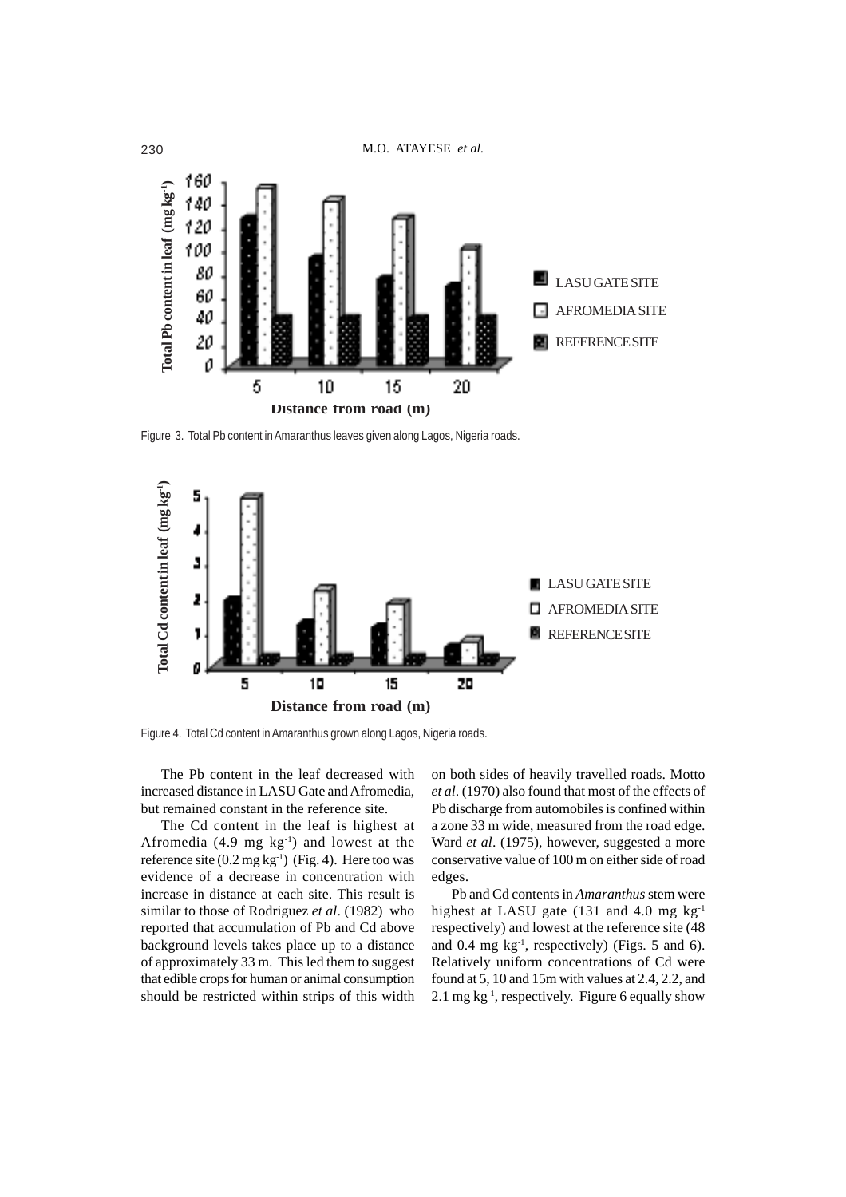

Figure 3. Total Pb content in Amaranthus leaves given along Lagos, Nigeria roads.



The Pb content in the leaf decreased with increased distance in LASU Gate and Afromedia, but remained constant in the reference site.

The Cd content in the leaf is highest at Afromedia  $(4.9 \text{ mg kg}^{-1})$  and lowest at the reference site (0.2 mg kg<sup>-1</sup>) (Fig. 4). Here too was evidence of a decrease in concentration with increase in distance at each site. This result is similar to those of Rodriguez *et al*. (1982) who reported that accumulation of Pb and Cd above background levels takes place up to a distance of approximately 33 m. This led them to suggest that edible crops for human or animal consumption should be restricted within strips of this width

on both sides of heavily travelled roads. Motto *et al*. (1970) also found that most of the effects of Pb discharge from automobiles is confined within a zone 33 m wide, measured from the road edge. Ward *et al*. (1975), however, suggested a more conservative value of 100 m on either side of road edges.

Pb and Cd contents in *Amaranthus* stem were highest at LASU gate (131 and 4.0 mg  $kg^{-1}$ ) respectively) and lowest at the reference site (48 and 0.4 mg  $kg^{-1}$ , respectively) (Figs. 5 and 6). Relatively uniform concentrations of Cd were found at 5, 10 and 15m with values at 2.4, 2.2, and 2.1 mg  $kg^{-1}$ , respectively. Figure 6 equally show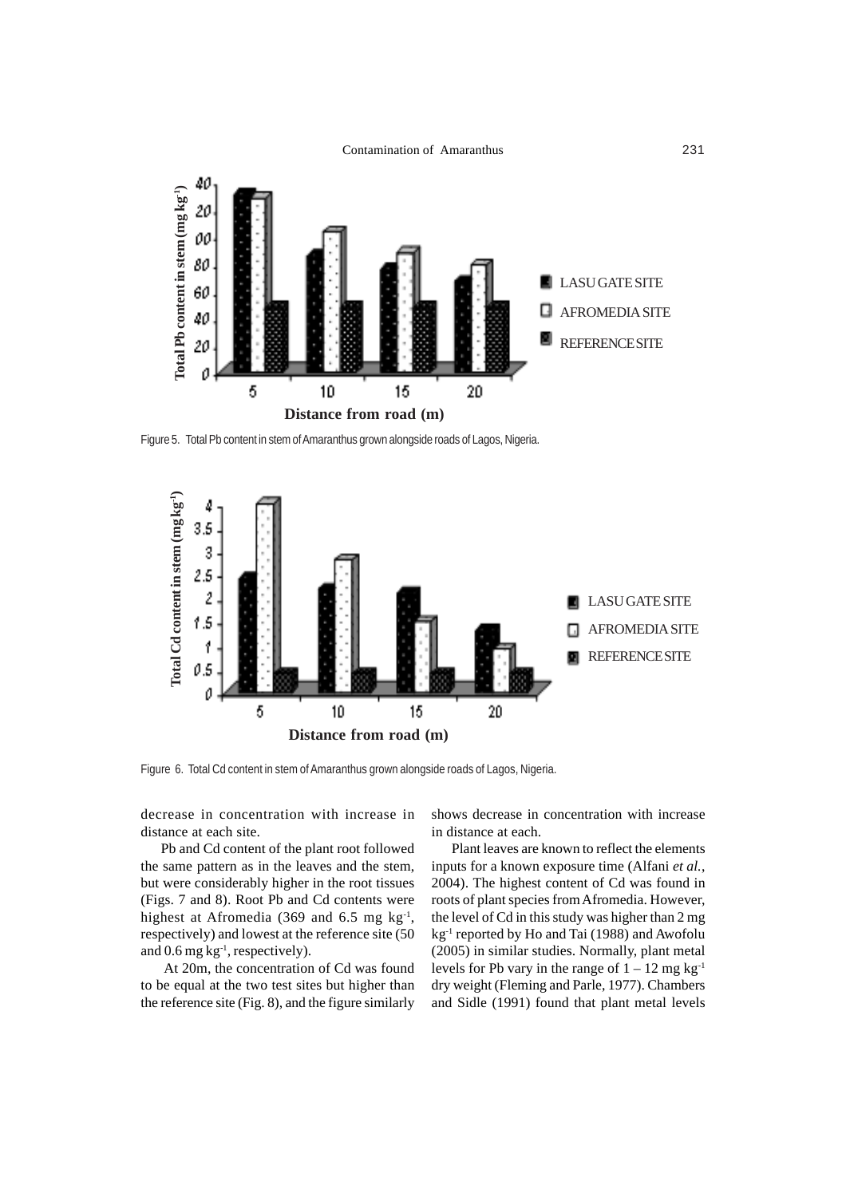

Figure 5. Total Pb content in stem of Amaranthus grown alongside roads of Lagos, Nigeria.



decrease in concentration with increase in distance at each site.

Pb and Cd content of the plant root followed the same pattern as in the leaves and the stem, but were considerably higher in the root tissues (Figs. 7 and 8). Root Pb and Cd contents were highest at Afromedia (369 and 6.5 mg  $kg^{-1}$ , respectively) and lowest at the reference site (50 and 0.6 mg kg<sup>-1</sup>, respectively).

 At 20m, the concentration of Cd was found to be equal at the two test sites but higher than the reference site (Fig. 8), and the figure similarly shows decrease in concentration with increase in distance at each.

Plant leaves are known to reflect the elements inputs for a known exposure time (Alfani *et al.*, 2004). The highest content of Cd was found in roots of plant species from Afromedia. However, the level of Cd in this study was higher than 2 mg kg<sup>-1</sup> reported by Ho and Tai (1988) and Awofolu (2005) in similar studies. Normally, plant metal levels for Pb vary in the range of  $1 - 12$  mg kg<sup>-1</sup> dry weight (Fleming and Parle, 1977). Chambers and Sidle (1991) found that plant metal levels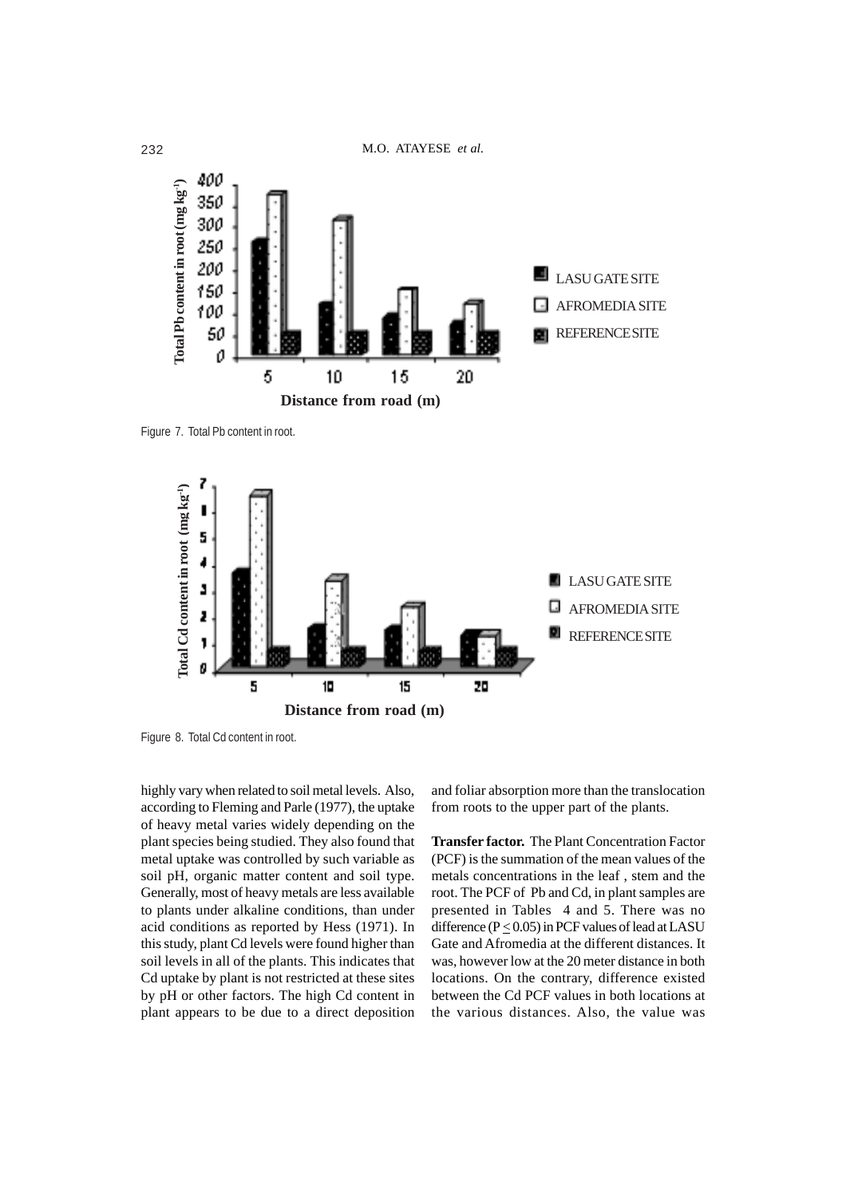

Figure 7. Total Pb content in root.



Figure 8. Total Cd content in root.

highly vary when related to soil metal levels. Also, according to Fleming and Parle (1977), the uptake of heavy metal varies widely depending on the plant species being studied. They also found that metal uptake was controlled by such variable as soil pH, organic matter content and soil type. Generally, most of heavy metals are less available to plants under alkaline conditions, than under acid conditions as reported by Hess (1971). In this study, plant Cd levels were found higher than soil levels in all of the plants. This indicates that Cd uptake by plant is not restricted at these sites by pH or other factors. The high Cd content in plant appears to be due to a direct deposition

and foliar absorption more than the translocation from roots to the upper part of the plants.

**Transfer factor.** The Plant Concentration Factor (PCF) is the summation of the mean values of the metals concentrations in the leaf , stem and the root. The PCF of Pb and Cd, in plant samples are presented in Tables 4 and 5. There was no difference ( $P \le 0.05$ ) in PCF values of lead at LASU Gate and Afromedia at the different distances. It was, however low at the 20 meter distance in both locations. On the contrary, difference existed between the Cd PCF values in both locations at the various distances. Also, the value was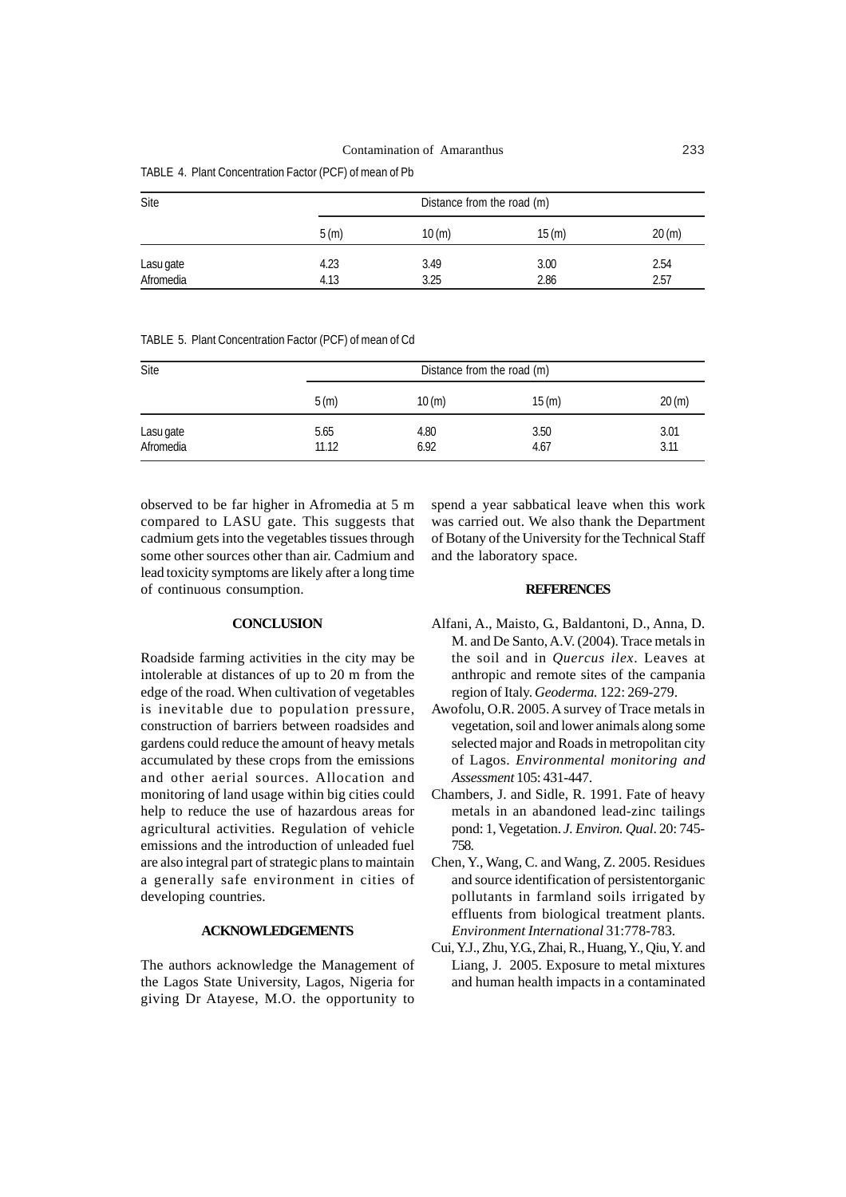|  | TABLE 4. Plant Concentration Factor (PCF) of mean of Pb |  |  |
|--|---------------------------------------------------------|--|--|
|--|---------------------------------------------------------|--|--|

| Site                   | Distance from the road (m) |              |              |              |
|------------------------|----------------------------|--------------|--------------|--------------|
|                        | 5(m)                       | 10(m)        | 15(m)        | 20(m)        |
| Lasu gate<br>Afromedia | 4.23<br>4.13               | 3.49<br>3.25 | 3.00<br>2.86 | 2.54<br>2.57 |

TABLE 5. Plant Concentration Factor (PCF) of mean of Cd

| Site                   | Distance from the road (m) |              |              |              |
|------------------------|----------------------------|--------------|--------------|--------------|
|                        | 5(m)                       | 10(m)        | 15(m)        | 20(m)        |
| Lasu gate<br>Afromedia | 5.65<br>11.12              | 4.80<br>6.92 | 3.50<br>4.67 | 3.01<br>3.11 |

observed to be far higher in Afromedia at 5 m compared to LASU gate. This suggests that cadmium gets into the vegetables tissues through some other sources other than air. Cadmium and lead toxicity symptoms are likely after a long time of continuous consumption.

spend a year sabbatical leave when this work was carried out. We also thank the Department of Botany of the University for the Technical Staff and the laboratory space.

#### **REFERENCES**

# **CONCLUSION**

Roadside farming activities in the city may be intolerable at distances of up to 20 m from the edge of the road. When cultivation of vegetables is inevitable due to population pressure, construction of barriers between roadsides and gardens could reduce the amount of heavy metals accumulated by these crops from the emissions and other aerial sources. Allocation and monitoring of land usage within big cities could help to reduce the use of hazardous areas for agricultural activities. Regulation of vehicle emissions and the introduction of unleaded fuel are also integral part of strategic plans to maintain a generally safe environment in cities of developing countries.

## **ACKNOWLEDGEMENTS**

The authors acknowledge the Management of the Lagos State University, Lagos, Nigeria for giving Dr Atayese, M.O. the opportunity to Alfani, A., Maisto, G., Baldantoni, D., Anna, D. M. and De Santo, A.V. (2004). Trace metals in the soil and in *Quercus ilex*. Leaves at anthropic and remote sites of the campania region of Italy. *Geoderma.* 122: 269-279.

- Awofolu, O.R. 2005. A survey of Trace metals in vegetation, soil and lower animals along some selected major and Roads in metropolitan city of Lagos. *Environmental monitoring and Assessment* 105: 431-447.
- Chambers, J. and Sidle, R. 1991. Fate of heavy metals in an abandoned lead-zinc tailings pond: 1, Vegetation. *J. Environ. Qual*. 20: 745- 758.
- Chen, Y., Wang, C. and Wang, Z. 2005. Residues and source identification of persistentorganic pollutants in farmland soils irrigated by effluents from biological treatment plants. *Environment International* 31:778-783.
- Cui, Y.J., Zhu, Y.G., Zhai, R., Huang, Y., Qiu, Y. and Liang, J. 2005. Exposure to metal mixtures and human health impacts in a contaminated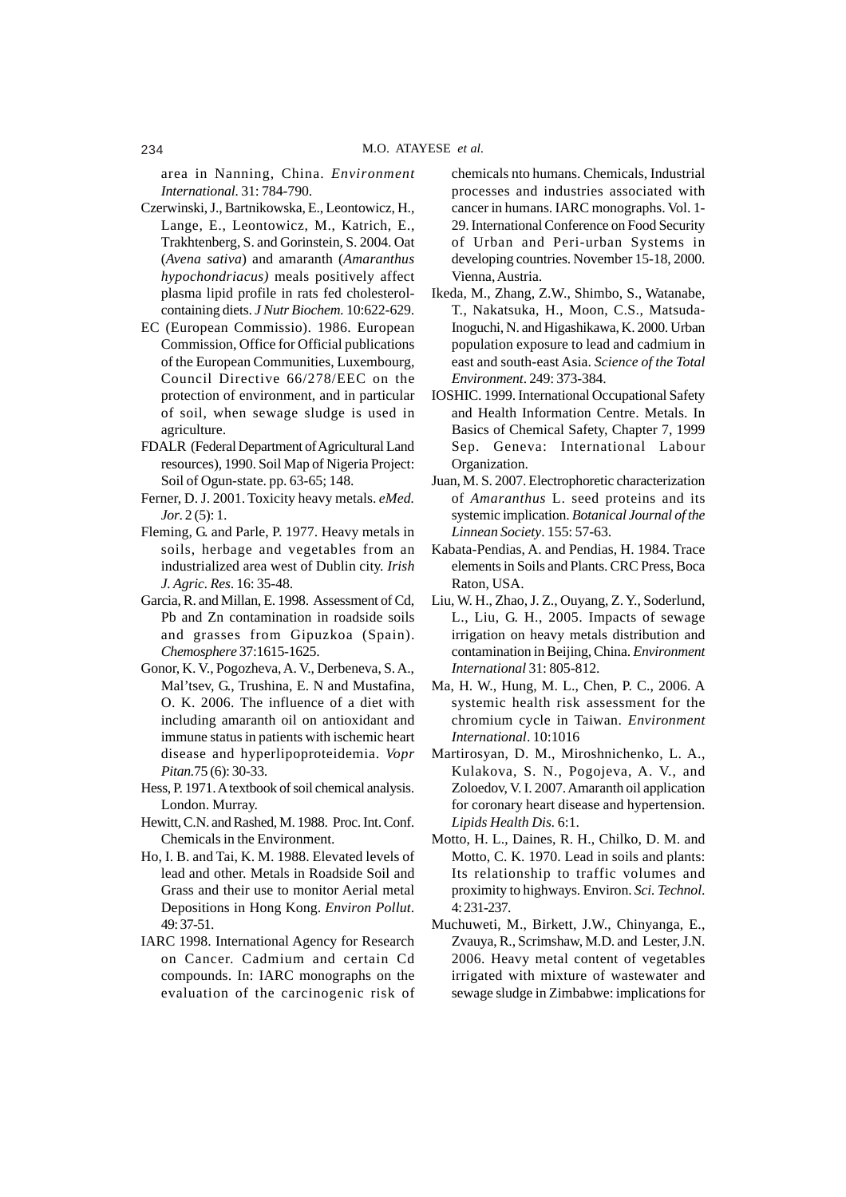area in Nanning, China. *Environment International.* 31: 784-790.

- Czerwinski, J., Bartnikowska, E., Leontowicz, H., Lange, E., Leontowicz, M., Katrich, E., Trakhtenberg, S. and Gorinstein, S. 2004. Oat (*Avena sativa*) and amaranth (*Amaranthus hypochondriacus)* meals positively affect plasma lipid profile in rats fed cholesterolcontaining diets. *J Nutr Biochem.* 10:622-629.
- EC (European Commissio). 1986. European Commission, Office for Official publications of the European Communities, Luxembourg, Council Directive 66/278/EEC on the protection of environment, and in particular of soil, when sewage sludge is used in agriculture.
- FDALR (Federal Department of Agricultural Land resources), 1990. Soil Map of Nigeria Project: Soil of Ogun-state. pp. 63-65; 148.
- Ferner, D. J. 2001. Toxicity heavy metals. *eMed. Jor*. 2 (5): 1.
- Fleming, G. and Parle, P. 1977. Heavy metals in soils, herbage and vegetables from an industrialized area west of Dublin city. *Irish J. Agric. Res*. 16: 35-48.
- Garcia, R. and Millan, E. 1998. Assessment of Cd, Pb and Zn contamination in roadside soils and grasses from Gipuzkoa (Spain). *Chemosphere* 37:1615-1625.
- Gonor, K. V., Pogozheva, A. V., Derbeneva, S. A., Mal'tsev, G., Trushina, E. N and Mustafina, O. K. 2006. The influence of a diet with including amaranth oil on antioxidant and immune status in patients with ischemic heart disease and hyperlipoproteidemia. *Vopr Pitan.*75 (6): 30-33.
- Hess, P. 1971. A textbook of soil chemical analysis. London. Murray.
- Hewitt, C.N. and Rashed, M. 1988. Proc. Int. Conf. Chemicals in the Environment.
- Ho, I. B. and Tai, K. M. 1988. Elevated levels of lead and other. Metals in Roadside Soil and Grass and their use to monitor Aerial metal Depositions in Hong Kong. *Environ Pollut*. 49: 37-51.
- IARC 1998. International Agency for Research on Cancer. Cadmium and certain Cd compounds. In: IARC monographs on the evaluation of the carcinogenic risk of

chemicals nto humans. Chemicals, Industrial processes and industries associated with cancer in humans. IARC monographs. Vol. 1- 29. International Conference on Food Security of Urban and Peri-urban Systems in developing countries. November 15-18, 2000. Vienna, Austria.

- Ikeda, M., Zhang, Z.W., Shimbo, S., Watanabe, T., Nakatsuka, H., Moon, C.S., Matsuda-Inoguchi, N. and Higashikawa, K. 2000. Urban population exposure to lead and cadmium in east and south-east Asia. *Science of the Total Environment*. 249: 373-384.
- IOSHIC. 1999. International Occupational Safety and Health Information Centre. Metals. In Basics of Chemical Safety, Chapter 7, 1999 Sep. Geneva: International Labour Organization.
- Juan, M. S. 2007. Electrophoretic characterization of *Amaranthus* L. seed proteins and its systemic implication. *Botanical Journal of the Linnean Society*. 155: 57-63.
- Kabata-Pendias, A. and Pendias, H. 1984. Trace elements in Soils and Plants. CRC Press, Boca Raton, USA.
- Liu, W. H., Zhao, J. Z., Ouyang, Z. Y., Soderlund, L., Liu, G. H., 2005. Impacts of sewage irrigation on heavy metals distribution and contamination in Beijing, China. *Environment International* 31: 805-812.
- Ma, H. W., Hung, M. L., Chen, P. C., 2006. A systemic health risk assessment for the chromium cycle in Taiwan. *Environment International*. 10:1016
- Martirosyan, D. M., Miroshnichenko, L. A., Kulakova, S. N., Pogojeva, A. V., and Zoloedov, V. I. 2007. Amaranth oil application for coronary heart disease and hypertension. *Lipids Health Dis.* 6:1.
- Motto, H. L., Daines, R. H., Chilko, D. M. and Motto, C. K. 1970. Lead in soils and plants: Its relationship to traffic volumes and proximity to highways. Environ. *Sci. Technol*. 4: 231-237.
- Muchuweti, M., Birkett, J.W., Chinyanga, E., Zvauya, R., Scrimshaw, M.D. and Lester, J.N. 2006. Heavy metal content of vegetables irrigated with mixture of wastewater and sewage sludge in Zimbabwe: implications for